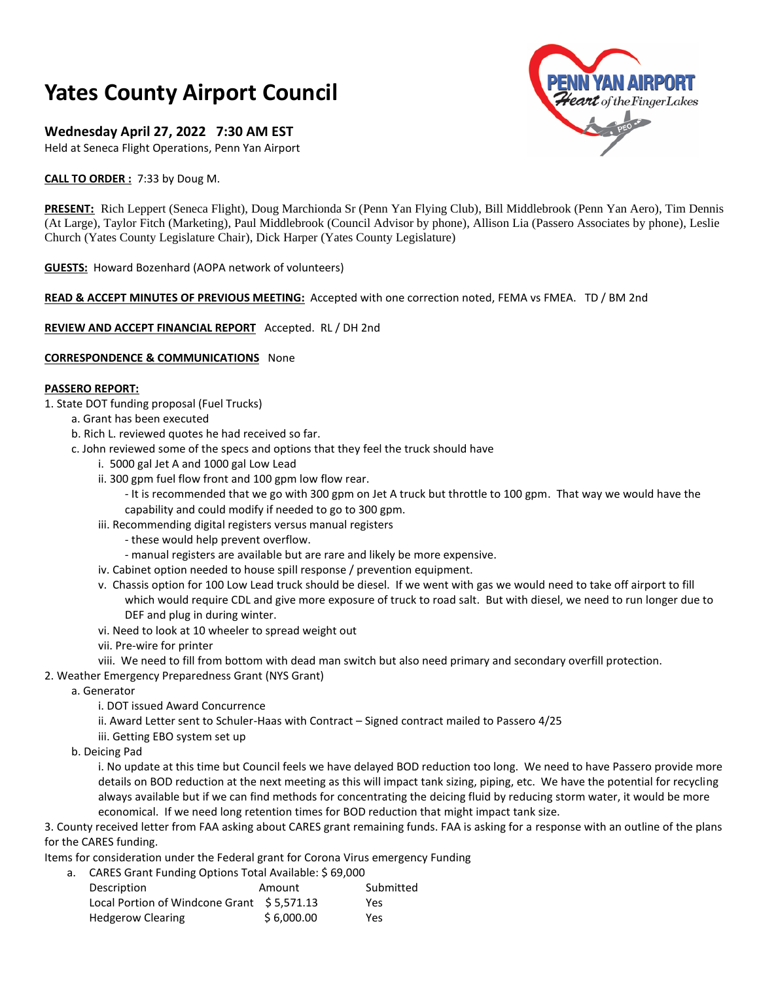# **Yates County Airport Council**

## **Wednesday April 27, 2022 7:30 AM EST**

Held at Seneca Flight Operations, Penn Yan Airport

**CALL TO ORDER :** 7:33 by Doug M.

**YAN AIRPORT**  $\boldsymbol{\mathcal{W}}\boldsymbol{\mathcal{t}}$  of the Finger Lakes

**PRESENT:** Rich Leppert (Seneca Flight), Doug Marchionda Sr (Penn Yan Flying Club), Bill Middlebrook (Penn Yan Aero), Tim Dennis (At Large), Taylor Fitch (Marketing), Paul Middlebrook (Council Advisor by phone), Allison Lia (Passero Associates by phone), Leslie Church (Yates County Legislature Chair), Dick Harper (Yates County Legislature)

**GUESTS:** Howard Bozenhard (AOPA network of volunteers)

## **READ & ACCEPT MINUTES OF PREVIOUS MEETING:** Accepted with one correction noted, FEMA vs FMEA. TD / BM 2nd

**REVIEW AND ACCEPT FINANCIAL REPORT** Accepted. RL / DH 2nd

## **CORRESPONDENCE & COMMUNICATIONS** None

## **PASSERO REPORT:**

- 1. State DOT funding proposal (Fuel Trucks)
	- a. Grant has been executed
		- b. Rich L. reviewed quotes he had received so far.
		- c. John reviewed some of the specs and options that they feel the truck should have
			- i. 5000 gal Jet A and 1000 gal Low Lead
			- ii. 300 gpm fuel flow front and 100 gpm low flow rear.
				- It is recommended that we go with 300 gpm on Jet A truck but throttle to 100 gpm. That way we would have the
			- capability and could modify if needed to go to 300 gpm.
			- iii. Recommending digital registers versus manual registers
				- these would help prevent overflow.
				- manual registers are available but are rare and likely be more expensive.
			- iv. Cabinet option needed to house spill response / prevention equipment.
			- v. Chassis option for 100 Low Lead truck should be diesel. If we went with gas we would need to take off airport to fill which would require CDL and give more exposure of truck to road salt. But with diesel, we need to run longer due to DEF and plug in during winter.
			- vi. Need to look at 10 wheeler to spread weight out
			- vii. Pre-wire for printer
			- viii. We need to fill from bottom with dead man switch but also need primary and secondary overfill protection.
- 2. Weather Emergency Preparedness Grant (NYS Grant)
	- a. Generator
		- i. DOT issued Award Concurrence
		- ii. Award Letter sent to Schuler-Haas with Contract Signed contract mailed to Passero 4/25
		- iii. Getting EBO system set up
	- b. Deicing Pad

i. No update at this time but Council feels we have delayed BOD reduction too long. We need to have Passero provide more details on BOD reduction at the next meeting as this will impact tank sizing, piping, etc. We have the potential for recycling always available but if we can find methods for concentrating the deicing fluid by reducing storm water, it would be more economical. If we need long retention times for BOD reduction that might impact tank size.

3. County received letter from FAA asking about CARES grant remaining funds. FAA is asking for a response with an outline of the plans for the CARES funding.

Items for consideration under the Federal grant for Corona Virus emergency Funding

a. CARES Grant Funding Options Total Available: \$ 69,000

| Description                                | Amount     | Submitted |
|--------------------------------------------|------------|-----------|
| Local Portion of Windcone Grant \$5,571.13 |            | Yes       |
| <b>Hedgerow Clearing</b>                   | \$6,000.00 | Yes       |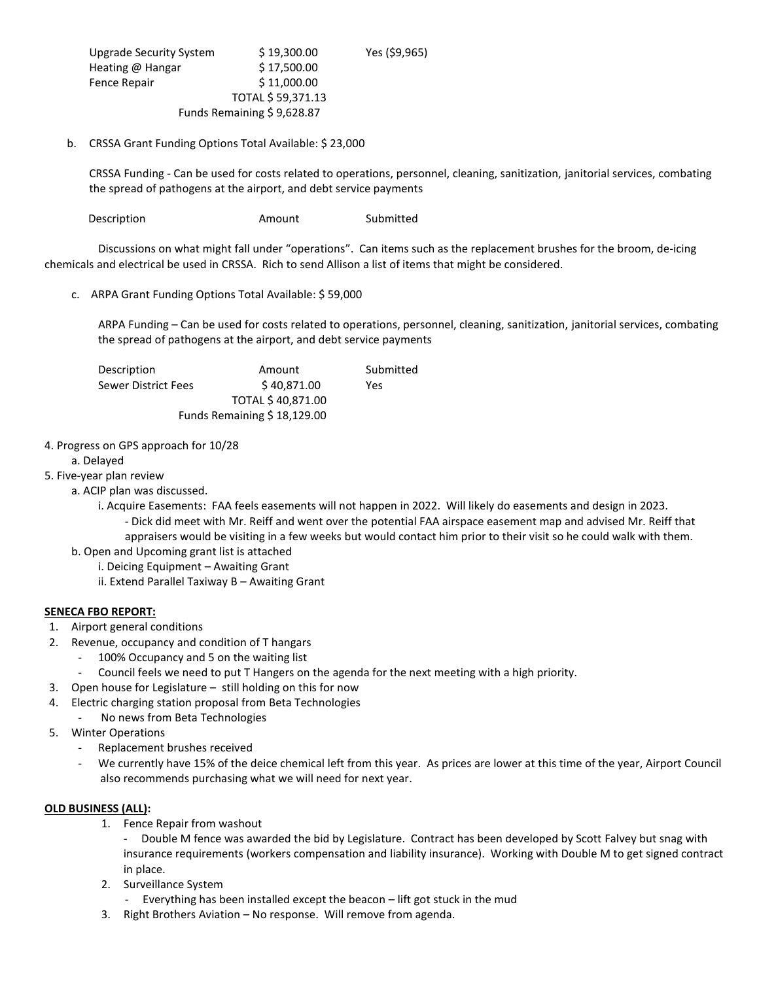| Upgrade Security System    | \$19,300.00 | Yes (\$9,965) |
|----------------------------|-------------|---------------|
| Heating @ Hangar           | \$17,500.00 |               |
| Fence Repair               | \$11,000.00 |               |
| TOTAL \$59,371.13          |             |               |
| Funds Remaining \$9,628.87 |             |               |

### b. CRSSA Grant Funding Options Total Available: \$ 23,000

CRSSA Funding - Can be used for costs related to operations, personnel, cleaning, sanitization, janitorial services, combating the spread of pathogens at the airport, and debt service payments

Description **Amount** Submitted

Discussions on what might fall under "operations". Can items such as the replacement brushes for the broom, de-icing chemicals and electrical be used in CRSSA. Rich to send Allison a list of items that might be considered.

c. ARPA Grant Funding Options Total Available: \$ 59,000

ARPA Funding – Can be used for costs related to operations, personnel, cleaning, sanitization, janitorial services, combating the spread of pathogens at the airport, and debt service payments

| Description         | Amount                      | Submitted |
|---------------------|-----------------------------|-----------|
| Sewer District Fees | \$40.871.00                 | Yes       |
| TOTAL \$40,871.00   |                             |           |
|                     | Funds Remaining \$18,129.00 |           |

#### 4. Progress on GPS approach for 10/28

#### a. Delayed

## 5. Five-year plan review

a. ACIP plan was discussed.

i. Acquire Easements: FAA feels easements will not happen in 2022. Will likely do easements and design in 2023. - Dick did meet with Mr. Reiff and went over the potential FAA airspace easement map and advised Mr. Reiff that appraisers would be visiting in a few weeks but would contact him prior to their visit so he could walk with them.

- b. Open and Upcoming grant list is attached
	- i. Deicing Equipment Awaiting Grant
		- ii. Extend Parallel Taxiway B Awaiting Grant

## **SENECA FBO REPORT:**

- 1. Airport general conditions
- 2. Revenue, occupancy and condition of T hangars
	- 100% Occupancy and 5 on the waiting list
	- Council feels we need to put T Hangers on the agenda for the next meeting with a high priority.
- 3. Open house for Legislature still holding on this for now
- 4. Electric charging station proposal from Beta Technologies
	- No news from Beta Technologies
- 5. Winter Operations
	- Replacement brushes received
	- We currently have 15% of the deice chemical left from this year. As prices are lower at this time of the year, Airport Council also recommends purchasing what we will need for next year.

#### **OLD BUSINESS (ALL):**

- 1. Fence Repair from washout
	- Double M fence was awarded the bid by Legislature. Contract has been developed by Scott Falvey but snag with insurance requirements (workers compensation and liability insurance). Working with Double M to get signed contract in place.
- 2. Surveillance System
	- Everything has been installed except the beacon lift got stuck in the mud
- 3. Right Brothers Aviation No response. Will remove from agenda.